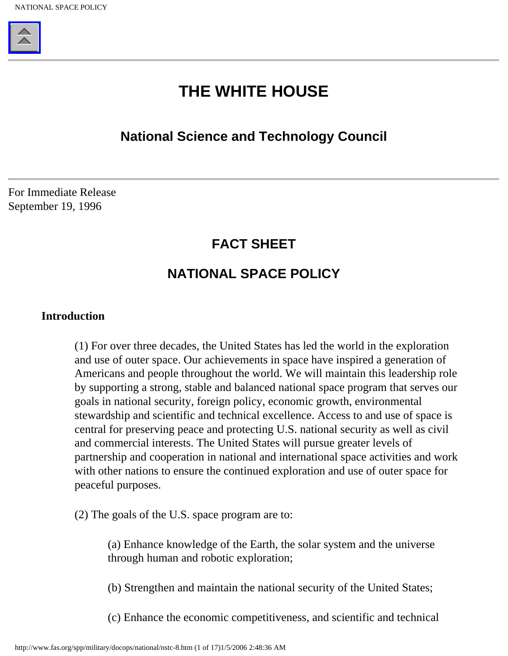

# **THE WHITE HOUSE**

### **National Science and Technology Council**

For Immediate Release September 19, 1996

### **FACT SHEET**

## **NATIONAL SPACE POLICY**

#### **Introduction**

(1) For over three decades, the United States has led the world in the exploration and use of outer space. Our achievements in space have inspired a generation of Americans and people throughout the world. We will maintain this leadership role by supporting a strong, stable and balanced national space program that serves our goals in national security, foreign policy, economic growth, environmental stewardship and scientific and technical excellence. Access to and use of space is central for preserving peace and protecting U.S. national security as well as civil and commercial interests. The United States will pursue greater levels of partnership and cooperation in national and international space activities and work with other nations to ensure the continued exploration and use of outer space for peaceful purposes.

(2) The goals of the U.S. space program are to:

(a) Enhance knowledge of the Earth, the solar system and the universe through human and robotic exploration;

(b) Strengthen and maintain the national security of the United States;

(c) Enhance the economic competitiveness, and scientific and technical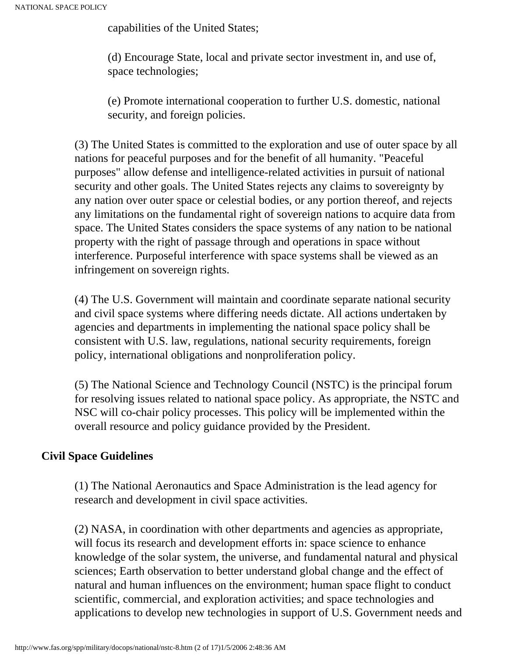capabilities of the United States;

(d) Encourage State, local and private sector investment in, and use of, space technologies;

(e) Promote international cooperation to further U.S. domestic, national security, and foreign policies.

(3) The United States is committed to the exploration and use of outer space by all nations for peaceful purposes and for the benefit of all humanity. "Peaceful purposes" allow defense and intelligence-related activities in pursuit of national security and other goals. The United States rejects any claims to sovereignty by any nation over outer space or celestial bodies, or any portion thereof, and rejects any limitations on the fundamental right of sovereign nations to acquire data from space. The United States considers the space systems of any nation to be national property with the right of passage through and operations in space without interference. Purposeful interference with space systems shall be viewed as an infringement on sovereign rights.

(4) The U.S. Government will maintain and coordinate separate national security and civil space systems where differing needs dictate. All actions undertaken by agencies and departments in implementing the national space policy shall be consistent with U.S. law, regulations, national security requirements, foreign policy, international obligations and nonproliferation policy.

(5) The National Science and Technology Council (NSTC) is the principal forum for resolving issues related to national space policy. As appropriate, the NSTC and NSC will co-chair policy processes. This policy will be implemented within the overall resource and policy guidance provided by the President.

#### **Civil Space Guidelines**

(1) The National Aeronautics and Space Administration is the lead agency for research and development in civil space activities.

(2) NASA, in coordination with other departments and agencies as appropriate, will focus its research and development efforts in: space science to enhance knowledge of the solar system, the universe, and fundamental natural and physical sciences; Earth observation to better understand global change and the effect of natural and human influences on the environment; human space flight to conduct scientific, commercial, and exploration activities; and space technologies and applications to develop new technologies in support of U.S. Government needs and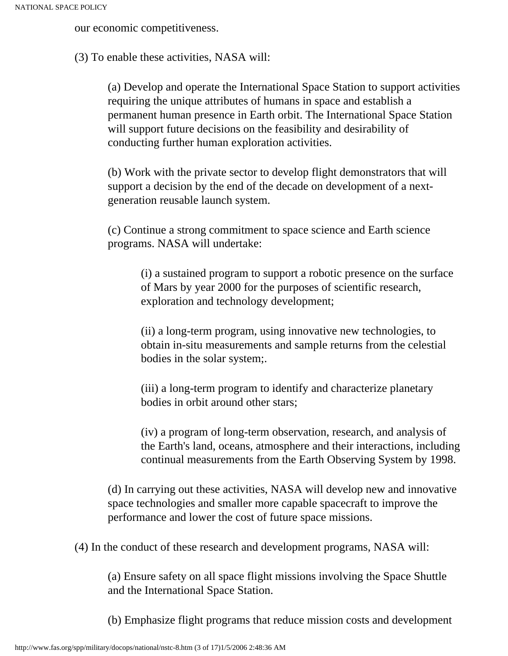our economic competitiveness.

(3) To enable these activities, NASA will:

(a) Develop and operate the International Space Station to support activities requiring the unique attributes of humans in space and establish a permanent human presence in Earth orbit. The International Space Station will support future decisions on the feasibility and desirability of conducting further human exploration activities.

(b) Work with the private sector to develop flight demonstrators that will support a decision by the end of the decade on development of a nextgeneration reusable launch system.

(c) Continue a strong commitment to space science and Earth science programs. NASA will undertake:

> (i) a sustained program to support a robotic presence on the surface of Mars by year 2000 for the purposes of scientific research, exploration and technology development;

(ii) a long-term program, using innovative new technologies, to obtain in-situ measurements and sample returns from the celestial bodies in the solar system;.

(iii) a long-term program to identify and characterize planetary bodies in orbit around other stars;

(iv) a program of long-term observation, research, and analysis of the Earth's land, oceans, atmosphere and their interactions, including continual measurements from the Earth Observing System by 1998.

(d) In carrying out these activities, NASA will develop new and innovative space technologies and smaller more capable spacecraft to improve the performance and lower the cost of future space missions.

(4) In the conduct of these research and development programs, NASA will:

(a) Ensure safety on all space flight missions involving the Space Shuttle and the International Space Station.

(b) Emphasize flight programs that reduce mission costs and development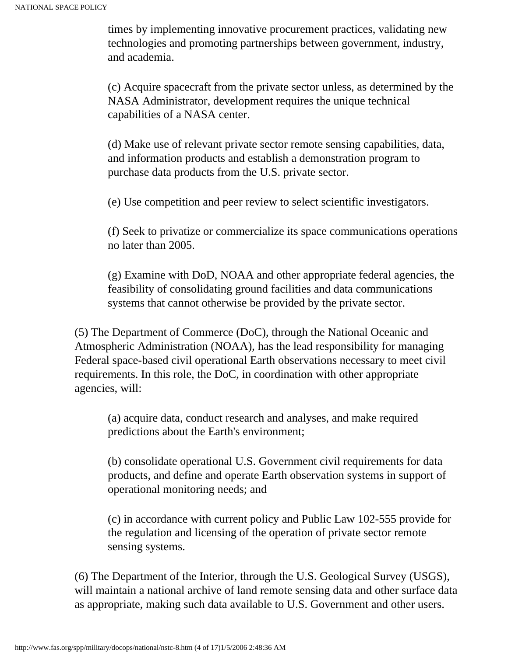times by implementing innovative procurement practices, validating new technologies and promoting partnerships between government, industry, and academia.

(c) Acquire spacecraft from the private sector unless, as determined by the NASA Administrator, development requires the unique technical capabilities of a NASA center.

(d) Make use of relevant private sector remote sensing capabilities, data, and information products and establish a demonstration program to purchase data products from the U.S. private sector.

(e) Use competition and peer review to select scientific investigators.

(f) Seek to privatize or commercialize its space communications operations no later than 2005.

(g) Examine with DoD, NOAA and other appropriate federal agencies, the feasibility of consolidating ground facilities and data communications systems that cannot otherwise be provided by the private sector.

(5) The Department of Commerce (DoC), through the National Oceanic and Atmospheric Administration (NOAA), has the lead responsibility for managing Federal space-based civil operational Earth observations necessary to meet civil requirements. In this role, the DoC, in coordination with other appropriate agencies, will:

(a) acquire data, conduct research and analyses, and make required predictions about the Earth's environment;

(b) consolidate operational U.S. Government civil requirements for data products, and define and operate Earth observation systems in support of operational monitoring needs; and

(c) in accordance with current policy and Public Law 102-555 provide for the regulation and licensing of the operation of private sector remote sensing systems.

(6) The Department of the Interior, through the U.S. Geological Survey (USGS), will maintain a national archive of land remote sensing data and other surface data as appropriate, making such data available to U.S. Government and other users.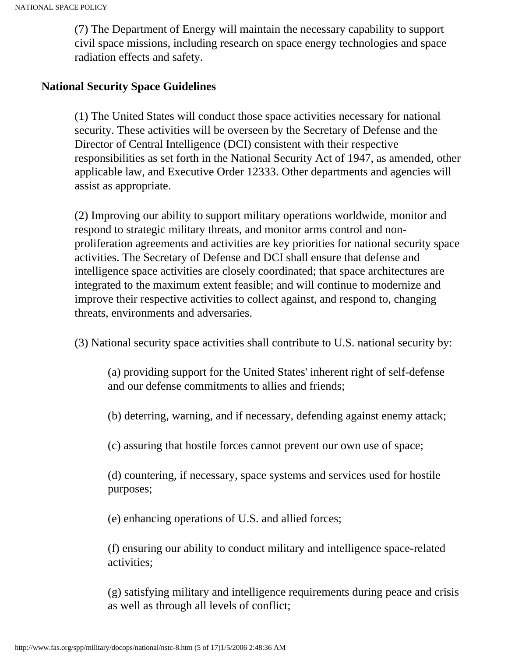(7) The Department of Energy will maintain the necessary capability to support civil space missions, including research on space energy technologies and space radiation effects and safety.

#### **National Security Space Guidelines**

(1) The United States will conduct those space activities necessary for national security. These activities will be overseen by the Secretary of Defense and the Director of Central Intelligence (DCI) consistent with their respective responsibilities as set forth in the National Security Act of 1947, as amended, other applicable law, and Executive Order 12333. Other departments and agencies will assist as appropriate.

(2) Improving our ability to support military operations worldwide, monitor and respond to strategic military threats, and monitor arms control and nonproliferation agreements and activities are key priorities for national security space activities. The Secretary of Defense and DCI shall ensure that defense and intelligence space activities are closely coordinated; that space architectures are integrated to the maximum extent feasible; and will continue to modernize and improve their respective activities to collect against, and respond to, changing threats, environments and adversaries.

(3) National security space activities shall contribute to U.S. national security by:

(a) providing support for the United States' inherent right of self-defense and our defense commitments to allies and friends;

(b) deterring, warning, and if necessary, defending against enemy attack;

(c) assuring that hostile forces cannot prevent our own use of space;

(d) countering, if necessary, space systems and services used for hostile purposes;

(e) enhancing operations of U.S. and allied forces;

(f) ensuring our ability to conduct military and intelligence space-related activities;

(g) satisfying military and intelligence requirements during peace and crisis as well as through all levels of conflict;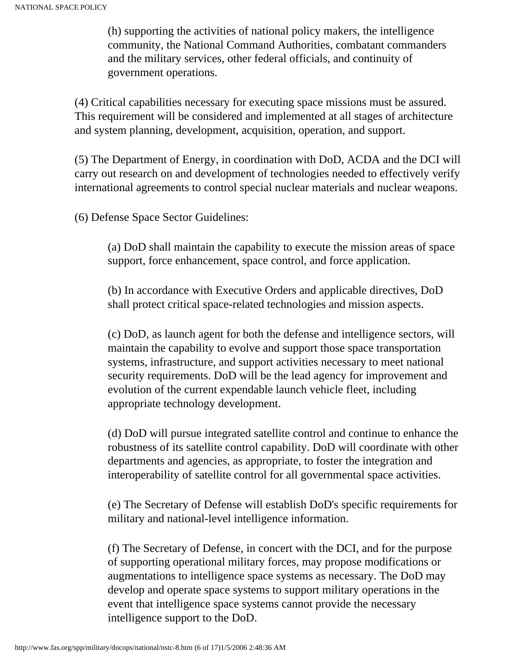(h) supporting the activities of national policy makers, the intelligence community, the National Command Authorities, combatant commanders and the military services, other federal officials, and continuity of government operations.

(4) Critical capabilities necessary for executing space missions must be assured. This requirement will be considered and implemented at all stages of architecture and system planning, development, acquisition, operation, and support.

(5) The Department of Energy, in coordination with DoD, ACDA and the DCI will carry out research on and development of technologies needed to effectively verify international agreements to control special nuclear materials and nuclear weapons.

(6) Defense Space Sector Guidelines:

(a) DoD shall maintain the capability to execute the mission areas of space support, force enhancement, space control, and force application.

(b) In accordance with Executive Orders and applicable directives, DoD shall protect critical space-related technologies and mission aspects.

(c) DoD, as launch agent for both the defense and intelligence sectors, will maintain the capability to evolve and support those space transportation systems, infrastructure, and support activities necessary to meet national security requirements. DoD will be the lead agency for improvement and evolution of the current expendable launch vehicle fleet, including appropriate technology development.

(d) DoD will pursue integrated satellite control and continue to enhance the robustness of its satellite control capability. DoD will coordinate with other departments and agencies, as appropriate, to foster the integration and interoperability of satellite control for all governmental space activities.

(e) The Secretary of Defense will establish DoD's specific requirements for military and national-level intelligence information.

(f) The Secretary of Defense, in concert with the DCI, and for the purpose of supporting operational military forces, may propose modifications or augmentations to intelligence space systems as necessary. The DoD may develop and operate space systems to support military operations in the event that intelligence space systems cannot provide the necessary intelligence support to the DoD.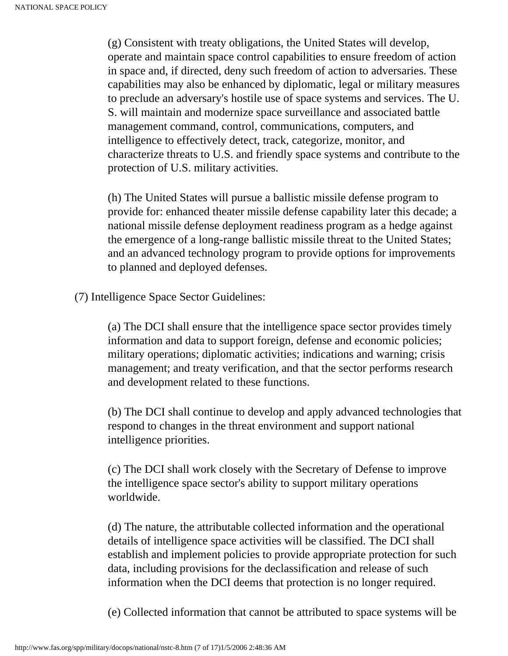(g) Consistent with treaty obligations, the United States will develop, operate and maintain space control capabilities to ensure freedom of action in space and, if directed, deny such freedom of action to adversaries. These capabilities may also be enhanced by diplomatic, legal or military measures to preclude an adversary's hostile use of space systems and services. The U. S. will maintain and modernize space surveillance and associated battle management command, control, communications, computers, and intelligence to effectively detect, track, categorize, monitor, and characterize threats to U.S. and friendly space systems and contribute to the protection of U.S. military activities.

(h) The United States will pursue a ballistic missile defense program to provide for: enhanced theater missile defense capability later this decade; a national missile defense deployment readiness program as a hedge against the emergence of a long-range ballistic missile threat to the United States; and an advanced technology program to provide options for improvements to planned and deployed defenses.

(7) Intelligence Space Sector Guidelines:

(a) The DCI shall ensure that the intelligence space sector provides timely information and data to support foreign, defense and economic policies; military operations; diplomatic activities; indications and warning; crisis management; and treaty verification, and that the sector performs research and development related to these functions.

(b) The DCI shall continue to develop and apply advanced technologies that respond to changes in the threat environment and support national intelligence priorities.

(c) The DCI shall work closely with the Secretary of Defense to improve the intelligence space sector's ability to support military operations worldwide.

(d) The nature, the attributable collected information and the operational details of intelligence space activities will be classified. The DCI shall establish and implement policies to provide appropriate protection for such data, including provisions for the declassification and release of such information when the DCI deems that protection is no longer required.

(e) Collected information that cannot be attributed to space systems will be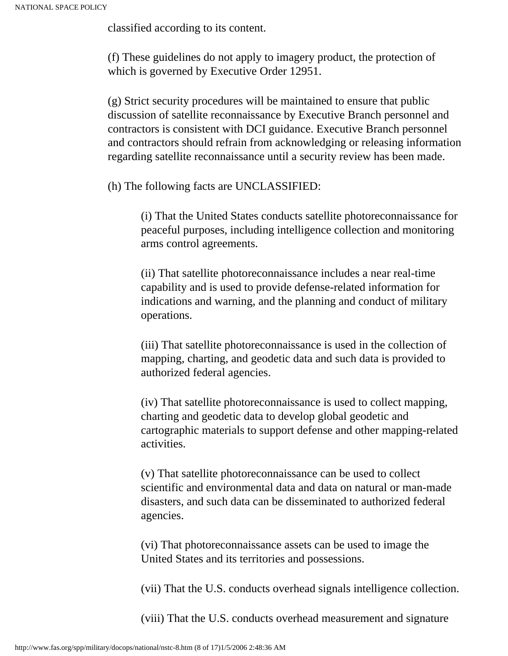classified according to its content.

(f) These guidelines do not apply to imagery product, the protection of which is governed by Executive Order 12951.

(g) Strict security procedures will be maintained to ensure that public discussion of satellite reconnaissance by Executive Branch personnel and contractors is consistent with DCI guidance. Executive Branch personnel and contractors should refrain from acknowledging or releasing information regarding satellite reconnaissance until a security review has been made.

(h) The following facts are UNCLASSIFIED:

(i) That the United States conducts satellite photoreconnaissance for peaceful purposes, including intelligence collection and monitoring arms control agreements.

(ii) That satellite photoreconnaissance includes a near real-time capability and is used to provide defense-related information for indications and warning, and the planning and conduct of military operations.

(iii) That satellite photoreconnaissance is used in the collection of mapping, charting, and geodetic data and such data is provided to authorized federal agencies.

(iv) That satellite photoreconnaissance is used to collect mapping, charting and geodetic data to develop global geodetic and cartographic materials to support defense and other mapping-related activities.

(v) That satellite photoreconnaissance can be used to collect scientific and environmental data and data on natural or man-made disasters, and such data can be disseminated to authorized federal agencies.

(vi) That photoreconnaissance assets can be used to image the United States and its territories and possessions.

(vii) That the U.S. conducts overhead signals intelligence collection.

(viii) That the U.S. conducts overhead measurement and signature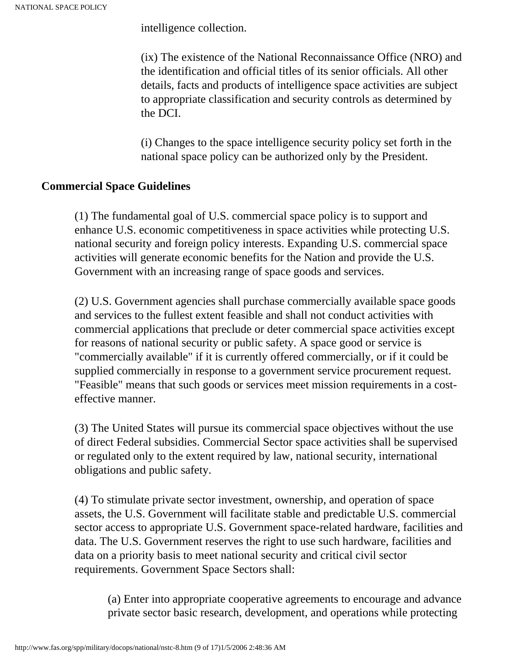intelligence collection.

(ix) The existence of the National Reconnaissance Office (NRO) and the identification and official titles of its senior officials. All other details, facts and products of intelligence space activities are subject to appropriate classification and security controls as determined by the DCI.

(i) Changes to the space intelligence security policy set forth in the national space policy can be authorized only by the President.

### **Commercial Space Guidelines**

(1) The fundamental goal of U.S. commercial space policy is to support and enhance U.S. economic competitiveness in space activities while protecting U.S. national security and foreign policy interests. Expanding U.S. commercial space activities will generate economic benefits for the Nation and provide the U.S. Government with an increasing range of space goods and services.

(2) U.S. Government agencies shall purchase commercially available space goods and services to the fullest extent feasible and shall not conduct activities with commercial applications that preclude or deter commercial space activities except for reasons of national security or public safety. A space good or service is "commercially available" if it is currently offered commercially, or if it could be supplied commercially in response to a government service procurement request. "Feasible" means that such goods or services meet mission requirements in a costeffective manner.

(3) The United States will pursue its commercial space objectives without the use of direct Federal subsidies. Commercial Sector space activities shall be supervised or regulated only to the extent required by law, national security, international obligations and public safety.

(4) To stimulate private sector investment, ownership, and operation of space assets, the U.S. Government will facilitate stable and predictable U.S. commercial sector access to appropriate U.S. Government space-related hardware, facilities and data. The U.S. Government reserves the right to use such hardware, facilities and data on a priority basis to meet national security and critical civil sector requirements. Government Space Sectors shall:

(a) Enter into appropriate cooperative agreements to encourage and advance private sector basic research, development, and operations while protecting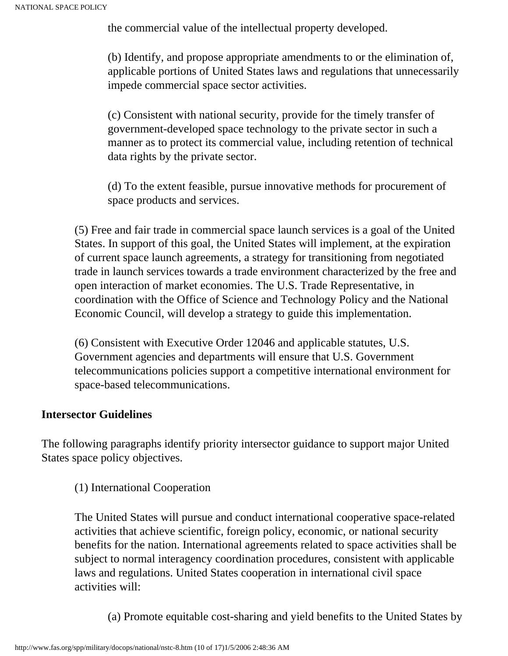the commercial value of the intellectual property developed.

(b) Identify, and propose appropriate amendments to or the elimination of, applicable portions of United States laws and regulations that unnecessarily impede commercial space sector activities.

(c) Consistent with national security, provide for the timely transfer of government-developed space technology to the private sector in such a manner as to protect its commercial value, including retention of technical data rights by the private sector.

(d) To the extent feasible, pursue innovative methods for procurement of space products and services.

(5) Free and fair trade in commercial space launch services is a goal of the United States. In support of this goal, the United States will implement, at the expiration of current space launch agreements, a strategy for transitioning from negotiated trade in launch services towards a trade environment characterized by the free and open interaction of market economies. The U.S. Trade Representative, in coordination with the Office of Science and Technology Policy and the National Economic Council, will develop a strategy to guide this implementation.

(6) Consistent with Executive Order 12046 and applicable statutes, U.S. Government agencies and departments will ensure that U.S. Government telecommunications policies support a competitive international environment for space-based telecommunications.

#### **Intersector Guidelines**

The following paragraphs identify priority intersector guidance to support major United States space policy objectives.

(1) International Cooperation

The United States will pursue and conduct international cooperative space-related activities that achieve scientific, foreign policy, economic, or national security benefits for the nation. International agreements related to space activities shall be subject to normal interagency coordination procedures, consistent with applicable laws and regulations. United States cooperation in international civil space activities will:

(a) Promote equitable cost-sharing and yield benefits to the United States by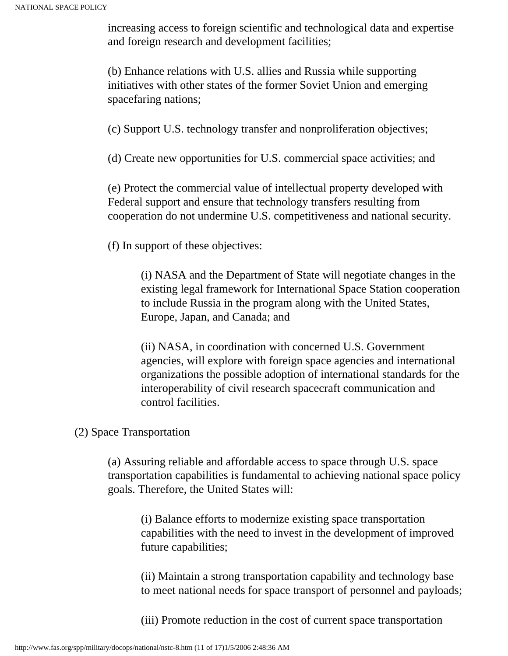increasing access to foreign scientific and technological data and expertise and foreign research and development facilities;

(b) Enhance relations with U.S. allies and Russia while supporting initiatives with other states of the former Soviet Union and emerging spacefaring nations;

(c) Support U.S. technology transfer and nonproliferation objectives;

(d) Create new opportunities for U.S. commercial space activities; and

(e) Protect the commercial value of intellectual property developed with Federal support and ensure that technology transfers resulting from cooperation do not undermine U.S. competitiveness and national security.

(f) In support of these objectives:

(i) NASA and the Department of State will negotiate changes in the existing legal framework for International Space Station cooperation to include Russia in the program along with the United States, Europe, Japan, and Canada; and

(ii) NASA, in coordination with concerned U.S. Government agencies, will explore with foreign space agencies and international organizations the possible adoption of international standards for the interoperability of civil research spacecraft communication and control facilities.

(2) Space Transportation

(a) Assuring reliable and affordable access to space through U.S. space transportation capabilities is fundamental to achieving national space policy goals. Therefore, the United States will:

(i) Balance efforts to modernize existing space transportation capabilities with the need to invest in the development of improved future capabilities;

(ii) Maintain a strong transportation capability and technology base to meet national needs for space transport of personnel and payloads;

(iii) Promote reduction in the cost of current space transportation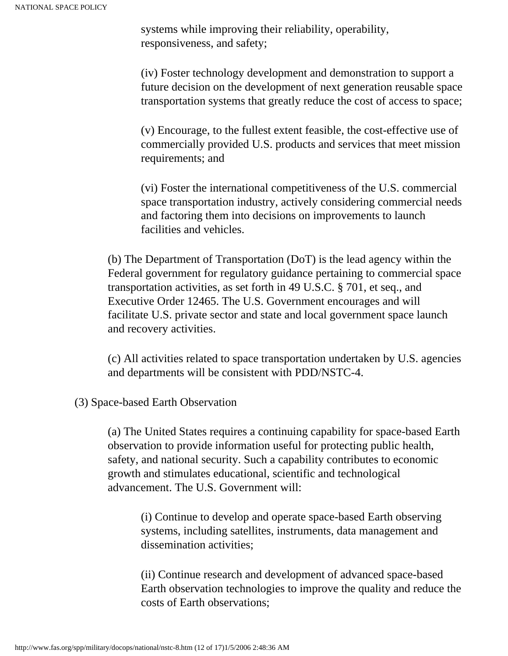systems while improving their reliability, operability, responsiveness, and safety;

(iv) Foster technology development and demonstration to support a future decision on the development of next generation reusable space transportation systems that greatly reduce the cost of access to space;

(v) Encourage, to the fullest extent feasible, the cost-effective use of commercially provided U.S. products and services that meet mission requirements; and

(vi) Foster the international competitiveness of the U.S. commercial space transportation industry, actively considering commercial needs and factoring them into decisions on improvements to launch facilities and vehicles.

(b) The Department of Transportation (DoT) is the lead agency within the Federal government for regulatory guidance pertaining to commercial space transportation activities, as set forth in 49 U.S.C. § 701, et seq., and Executive Order 12465. The U.S. Government encourages and will facilitate U.S. private sector and state and local government space launch and recovery activities.

(c) All activities related to space transportation undertaken by U.S. agencies and departments will be consistent with PDD/NSTC-4.

(3) Space-based Earth Observation

(a) The United States requires a continuing capability for space-based Earth observation to provide information useful for protecting public health, safety, and national security. Such a capability contributes to economic growth and stimulates educational, scientific and technological advancement. The U.S. Government will:

(i) Continue to develop and operate space-based Earth observing systems, including satellites, instruments, data management and dissemination activities;

(ii) Continue research and development of advanced space-based Earth observation technologies to improve the quality and reduce the costs of Earth observations;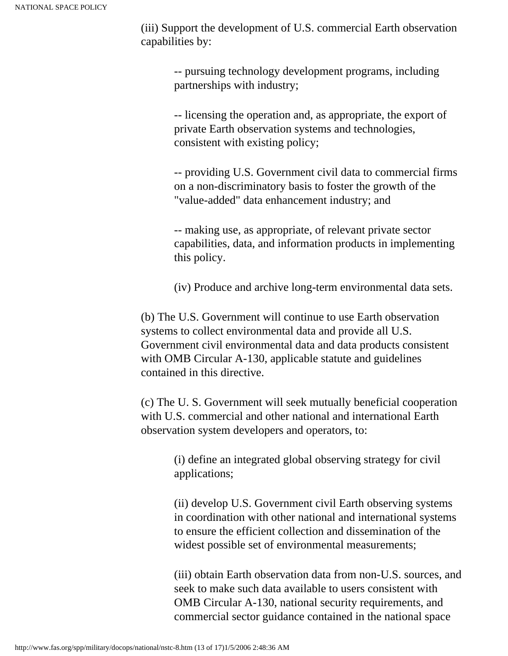(iii) Support the development of U.S. commercial Earth observation capabilities by:

> -- pursuing technology development programs, including partnerships with industry;

-- licensing the operation and, as appropriate, the export of private Earth observation systems and technologies, consistent with existing policy;

-- providing U.S. Government civil data to commercial firms on a non-discriminatory basis to foster the growth of the "value-added" data enhancement industry; and

-- making use, as appropriate, of relevant private sector capabilities, data, and information products in implementing this policy.

(iv) Produce and archive long-term environmental data sets.

(b) The U.S. Government will continue to use Earth observation systems to collect environmental data and provide all U.S. Government civil environmental data and data products consistent with OMB Circular A-130, applicable statute and guidelines contained in this directive.

(c) The U. S. Government will seek mutually beneficial cooperation with U.S. commercial and other national and international Earth observation system developers and operators, to:

> (i) define an integrated global observing strategy for civil applications;

(ii) develop U.S. Government civil Earth observing systems in coordination with other national and international systems to ensure the efficient collection and dissemination of the widest possible set of environmental measurements;

(iii) obtain Earth observation data from non-U.S. sources, and seek to make such data available to users consistent with OMB Circular A-130, national security requirements, and commercial sector guidance contained in the national space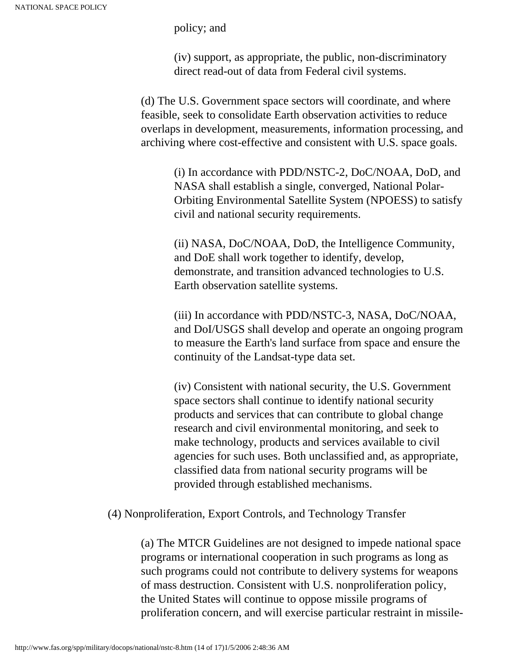#### policy; and

(iv) support, as appropriate, the public, non-discriminatory direct read-out of data from Federal civil systems.

(d) The U.S. Government space sectors will coordinate, and where feasible, seek to consolidate Earth observation activities to reduce overlaps in development, measurements, information processing, and archiving where cost-effective and consistent with U.S. space goals.

> (i) In accordance with PDD/NSTC-2, DoC/NOAA, DoD, and NASA shall establish a single, converged, National Polar-Orbiting Environmental Satellite System (NPOESS) to satisfy civil and national security requirements.

(ii) NASA, DoC/NOAA, DoD, the Intelligence Community, and DoE shall work together to identify, develop, demonstrate, and transition advanced technologies to U.S. Earth observation satellite systems.

(iii) In accordance with PDD/NSTC-3, NASA, DoC/NOAA, and DoI/USGS shall develop and operate an ongoing program to measure the Earth's land surface from space and ensure the continuity of the Landsat-type data set.

(iv) Consistent with national security, the U.S. Government space sectors shall continue to identify national security products and services that can contribute to global change research and civil environmental monitoring, and seek to make technology, products and services available to civil agencies for such uses. Both unclassified and, as appropriate, classified data from national security programs will be provided through established mechanisms.

#### (4) Nonproliferation, Export Controls, and Technology Transfer

(a) The MTCR Guidelines are not designed to impede national space programs or international cooperation in such programs as long as such programs could not contribute to delivery systems for weapons of mass destruction. Consistent with U.S. nonproliferation policy, the United States will continue to oppose missile programs of proliferation concern, and will exercise particular restraint in missile-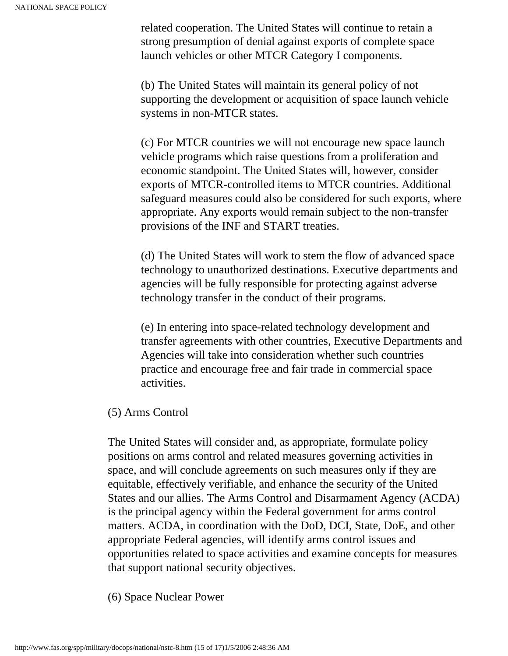related cooperation. The United States will continue to retain a strong presumption of denial against exports of complete space launch vehicles or other MTCR Category I components.

(b) The United States will maintain its general policy of not supporting the development or acquisition of space launch vehicle systems in non-MTCR states.

(c) For MTCR countries we will not encourage new space launch vehicle programs which raise questions from a proliferation and economic standpoint. The United States will, however, consider exports of MTCR-controlled items to MTCR countries. Additional safeguard measures could also be considered for such exports, where appropriate. Any exports would remain subject to the non-transfer provisions of the INF and START treaties.

(d) The United States will work to stem the flow of advanced space technology to unauthorized destinations. Executive departments and agencies will be fully responsible for protecting against adverse technology transfer in the conduct of their programs.

(e) In entering into space-related technology development and transfer agreements with other countries, Executive Departments and Agencies will take into consideration whether such countries practice and encourage free and fair trade in commercial space activities.

(5) Arms Control

The United States will consider and, as appropriate, formulate policy positions on arms control and related measures governing activities in space, and will conclude agreements on such measures only if they are equitable, effectively verifiable, and enhance the security of the United States and our allies. The Arms Control and Disarmament Agency (ACDA) is the principal agency within the Federal government for arms control matters. ACDA, in coordination with the DoD, DCI, State, DoE, and other appropriate Federal agencies, will identify arms control issues and opportunities related to space activities and examine concepts for measures that support national security objectives.

(6) Space Nuclear Power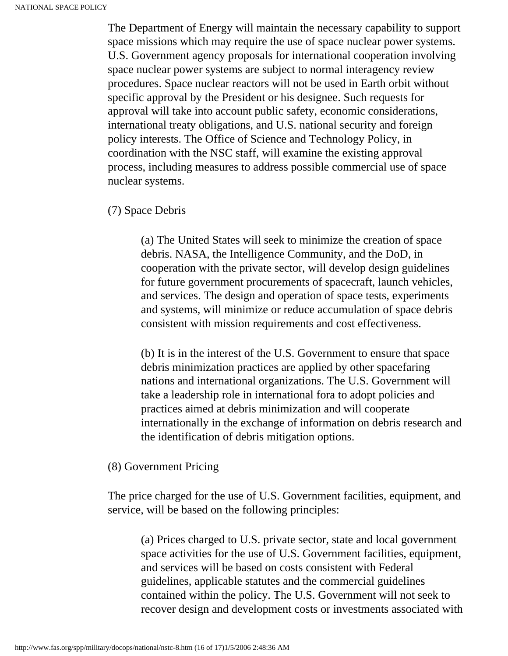The Department of Energy will maintain the necessary capability to support space missions which may require the use of space nuclear power systems. U.S. Government agency proposals for international cooperation involving space nuclear power systems are subject to normal interagency review procedures. Space nuclear reactors will not be used in Earth orbit without specific approval by the President or his designee. Such requests for approval will take into account public safety, economic considerations, international treaty obligations, and U.S. national security and foreign policy interests. The Office of Science and Technology Policy, in coordination with the NSC staff, will examine the existing approval process, including measures to address possible commercial use of space nuclear systems.

(7) Space Debris

(a) The United States will seek to minimize the creation of space debris. NASA, the Intelligence Community, and the DoD, in cooperation with the private sector, will develop design guidelines for future government procurements of spacecraft, launch vehicles, and services. The design and operation of space tests, experiments and systems, will minimize or reduce accumulation of space debris consistent with mission requirements and cost effectiveness.

(b) It is in the interest of the U.S. Government to ensure that space debris minimization practices are applied by other spacefaring nations and international organizations. The U.S. Government will take a leadership role in international fora to adopt policies and practices aimed at debris minimization and will cooperate internationally in the exchange of information on debris research and the identification of debris mitigation options.

(8) Government Pricing

The price charged for the use of U.S. Government facilities, equipment, and service, will be based on the following principles:

(a) Prices charged to U.S. private sector, state and local government space activities for the use of U.S. Government facilities, equipment, and services will be based on costs consistent with Federal guidelines, applicable statutes and the commercial guidelines contained within the policy. The U.S. Government will not seek to recover design and development costs or investments associated with